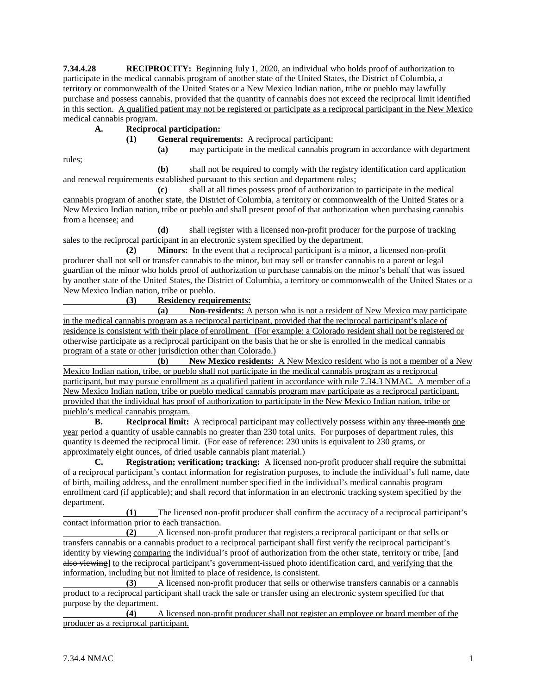**7.34.4.28 RECIPROCITY:** Beginning July 1, 2020, an individual who holds proof of authorization to participate in the medical cannabis program of another state of the United States, the District of Columbia, a territory or commonwealth of the United States or a New Mexico Indian nation, tribe or pueblo may lawfully purchase and possess cannabis, provided that the quantity of cannabis does not exceed the reciprocal limit identified in this section. A qualified patient may not be registered or participate as a reciprocal participant in the New Mexico medical cannabis program.

## **A. Reciprocal participation:**

**(1) General requirements:** A reciprocal participant:

**(a)** may participate in the medical cannabis program in accordance with department

rules;

**(b)** shall not be required to comply with the registry identification card application and renewal requirements established pursuant to this section and department rules;

**(c)** shall at all times possess proof of authorization to participate in the medical cannabis program of another state, the District of Columbia, a territory or commonwealth of the United States or a New Mexico Indian nation, tribe or pueblo and shall present proof of that authorization when purchasing cannabis from a licensee; and

**(d)** shall register with a licensed non-profit producer for the purpose of tracking sales to the reciprocal participant in an electronic system specified by the department.

**(2) Minors:** In the event that a reciprocal participant is a minor, a licensed non-profit producer shall not sell or transfer cannabis to the minor, but may sell or transfer cannabis to a parent or legal guardian of the minor who holds proof of authorization to purchase cannabis on the minor's behalf that was issued by another state of the United States, the District of Columbia, a territory or commonwealth of the United States or a New Mexico Indian nation, tribe or pueblo.

## **(3) Residency requirements:**

**(a) Non-residents:** A person who is not a resident of New Mexico may participate in the medical cannabis program as a reciprocal participant, provided that the reciprocal participant's place of residence is consistent with their place of enrollment. (For example: a Colorado resident shall not be registered or otherwise participate as a reciprocal participant on the basis that he or she is enrolled in the medical cannabis program of a state or other jurisdiction other than Colorado.)

**(b) New Mexico residents:** A New Mexico resident who is not a member of a New Mexico Indian nation, tribe, or pueblo shall not participate in the medical cannabis program as a reciprocal participant, but may pursue enrollment as a qualified patient in accordance with rule 7.34.3 NMAC. A member of a New Mexico Indian nation, tribe or pueblo medical cannabis program may participate as a reciprocal participant, provided that the individual has proof of authorization to participate in the New Mexico Indian nation, tribe or pueblo's medical cannabis program.

**B. Reciprocal limit:** A reciprocal participant may collectively possess within any three-month one year period a quantity of usable cannabis no greater than 230 total units. For purposes of department rules, this quantity is deemed the reciprocal limit. (For ease of reference: 230 units is equivalent to 230 grams, or approximately eight ounces, of dried usable cannabis plant material.)

**C. Registration; verification; tracking:** A licensed non-profit producer shall require the submittal of a reciprocal participant's contact information for registration purposes, to include the individual's full name, date of birth, mailing address, and the enrollment number specified in the individual's medical cannabis program enrollment card (if applicable); and shall record that information in an electronic tracking system specified by the department.

**(1)** The licensed non-profit producer shall confirm the accuracy of a reciprocal participant's contact information prior to each transaction.

**(2)** A licensed non-profit producer that registers a reciprocal participant or that sells or transfers cannabis or a cannabis product to a reciprocal participant shall first verify the reciprocal participant's identity by viewing comparing the individual's proof of authorization from the other state, territory or tribe, [and also viewing] to the reciprocal participant's government-issued photo identification card, and verifying that the information, including but not limited to place of residence, is consistent.<br>(3) A licensed non-profit producer that sells or other

**(3)** A licensed non-profit producer that sells or otherwise transfers cannabis or a cannabis product to a reciprocal participant shall track the sale or transfer using an electronic system specified for that purpose by the department.

**(4)** A licensed non-profit producer shall not register an employee or board member of the producer as a reciprocal participant.